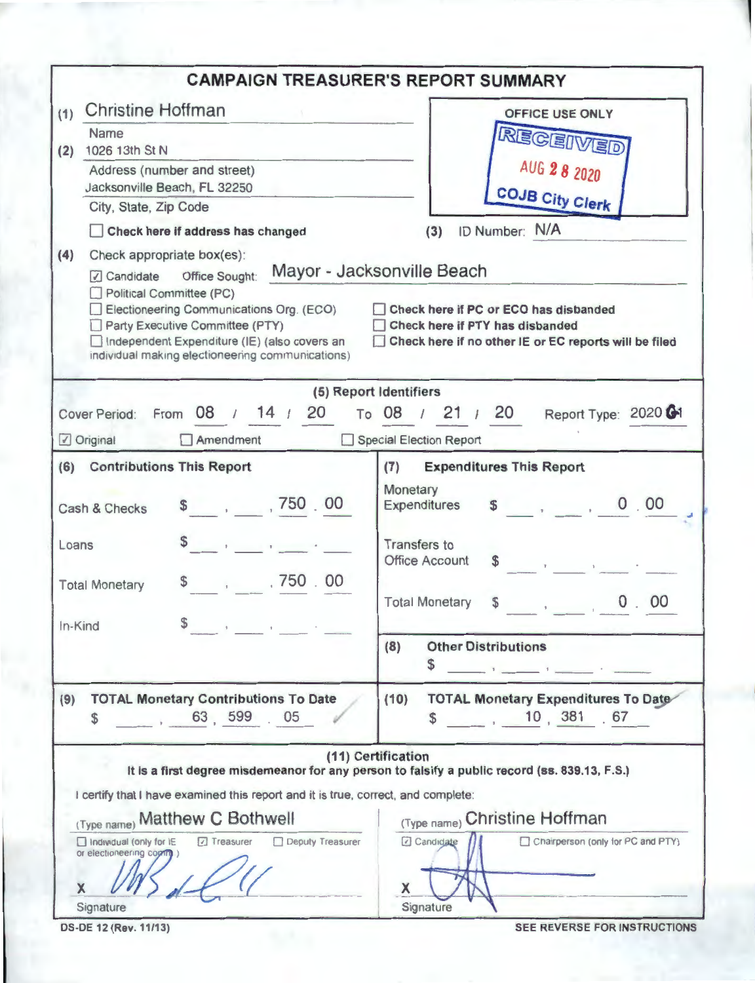|                                                                                                                                                                                                                                            | <b>CAMPAIGN TREASURER'S REPORT SUMMARY</b>                                                                                                                      |
|--------------------------------------------------------------------------------------------------------------------------------------------------------------------------------------------------------------------------------------------|-----------------------------------------------------------------------------------------------------------------------------------------------------------------|
| <b>Christine Hoffman</b><br>(1)<br>Name                                                                                                                                                                                                    | <b>OFFICE USE ONLY</b>                                                                                                                                          |
| 1026 13th St N<br>(2)                                                                                                                                                                                                                      | RECEIVED                                                                                                                                                        |
| Address (number and street)                                                                                                                                                                                                                | AUG 2 8 2020                                                                                                                                                    |
| Jacksonville Beach, FL 32250                                                                                                                                                                                                               | <b>COJB City Clerk</b>                                                                                                                                          |
| City, State, Zip Code                                                                                                                                                                                                                      |                                                                                                                                                                 |
| Check here if address has changed                                                                                                                                                                                                          | ID Number: N/A<br>(3)                                                                                                                                           |
| (4)<br>Check appropriate box(es):                                                                                                                                                                                                          |                                                                                                                                                                 |
| Candidate<br>Office Sought:<br>Political Committee (PC)<br>Electioneering Communications Org. (ECO)<br>Party Executive Committee (PTY)<br>Independent Expenditure (IE) (also covers an<br>individual making electioneering communications) | Mayor - Jacksonville Beach<br>Check here if PC or ECO has disbanded<br>Check here if PTY has disbanded<br>Check here if no other IE or EC reports will be filed |
|                                                                                                                                                                                                                                            | (5) Report Identifiers                                                                                                                                          |
| Cover Period: From 08 / 14 / 20<br>Amendment<br>Original                                                                                                                                                                                   | To 08 / 21 / 20<br>Report Type: 2020 61<br>Special Election Report                                                                                              |
|                                                                                                                                                                                                                                            |                                                                                                                                                                 |
| (6) Contributions This Report                                                                                                                                                                                                              | <b>Expenditures This Report</b><br>(7)                                                                                                                          |
| \$3, 750, 00<br>Cash & Checks                                                                                                                                                                                                              | Monetary<br>0.00<br>$\sim$<br>Expenditures                                                                                                                      |
| Loans                                                                                                                                                                                                                                      | <b>Transfers</b> to<br><b>Office Account</b><br>\$<br>$\label{eq:1} \mathbf{y} = \mathbf{y} + \mathbf{y} + \mathbf{y} + \mathbf{y} + \mathbf{y}$                |
| ,750 .00<br>\$<br><b>Contract Contract</b><br><b>Total Monetary</b>                                                                                                                                                                        |                                                                                                                                                                 |
| $\mathbb{S}$<br>In-Kind                                                                                                                                                                                                                    | 00<br><b>Total Monetary</b><br>\$<br>0 <sup>1</sup>                                                                                                             |
|                                                                                                                                                                                                                                            | (8)<br><b>Other Distributions</b><br>S<br><b>The Committee of Committee Committee</b>                                                                           |
| <b>TOTAL Monetary Contributions To Date</b><br>(9)<br>63 599 05<br>\$                                                                                                                                                                      | (10)<br><b>TOTAL Monetary Expenditures To Date</b><br>10 381 67<br>\$                                                                                           |
|                                                                                                                                                                                                                                            | (11) Certification<br>It is a first degree misdemeanor for any person to falsify a public record (ss. 839.13, F.S.)                                             |
| I certify that I have examined this report and it is true, correct, and complete:                                                                                                                                                          |                                                                                                                                                                 |
| (Type name) Matthew C Bothwell                                                                                                                                                                                                             | (Type name) Christine Hoffman                                                                                                                                   |
| Individual (only for IE<br>Deputy Treasurer<br>7 Treasurer<br>or electioneering copying<br>X                                                                                                                                               | Candidate<br>Chairperson (only for PC and PTY)<br>X                                                                                                             |
| Signature                                                                                                                                                                                                                                  | Signature                                                                                                                                                       |
| DS-DE 12 (Rev. 11/13)                                                                                                                                                                                                                      | SEE REVERSE FOR INSTRUCTIONS                                                                                                                                    |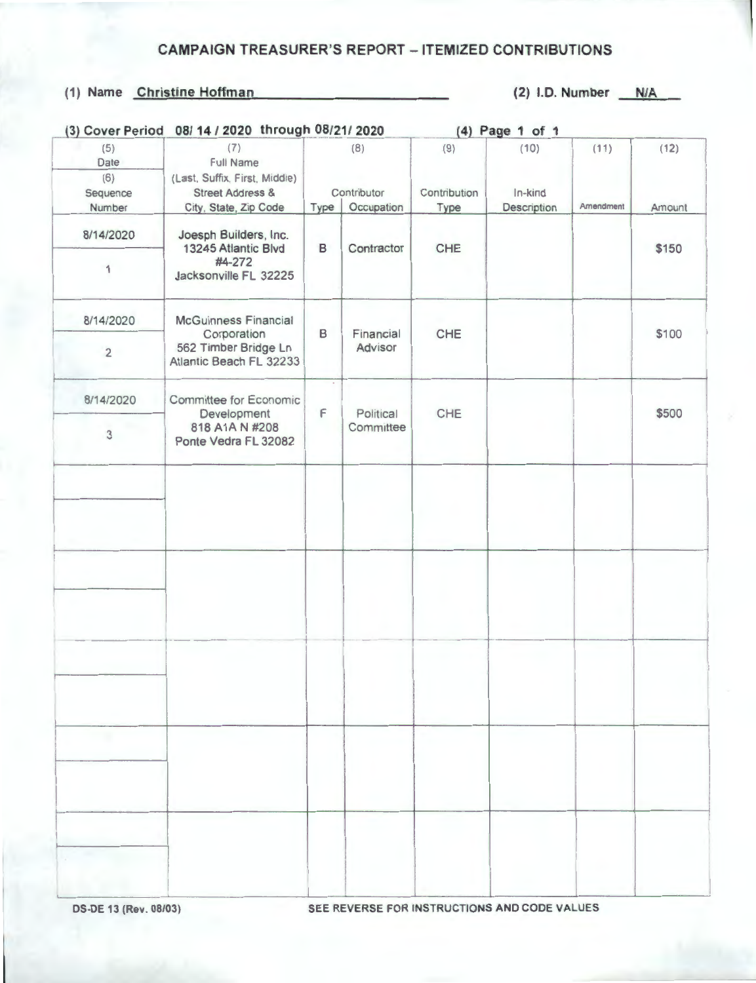## **CAMPAIGN TREASURER'S REPORT - ITEMIZED CONTRIBUTIONS**

## (1) Name Christine Hoffman

 $(2)$  I.D. Number  $N/A$ 

| (3) Cover Period   | 08/ 14 / 2020 through 08/21/ 2020                                                             |                                          |            | (4) Page 1 of 1             |                                |                   |                |  |
|--------------------|-----------------------------------------------------------------------------------------------|------------------------------------------|------------|-----------------------------|--------------------------------|-------------------|----------------|--|
| (5)<br>Date<br>(6) | (7)<br><b>Full Name</b><br>(Last, Suffix, First, Middle)                                      | (8)<br>Contributor<br>Occupation<br>Type |            | (9)<br>Contribution<br>Type | (10)<br>In-kind<br>Description | (11)<br>Amendment | (12)<br>Amount |  |
| Sequence<br>Number | <b>Street Address &amp;</b><br>City, State, Zip Code                                          |                                          |            |                             |                                |                   |                |  |
| 8/14/2020          | Joesph Builders, Inc.<br>13245 Atlantic Blvd                                                  | В                                        | Contractor | CHE                         |                                |                   | \$150          |  |
| 1                  | #4-272<br>Jacksonville FL 32225                                                               |                                          |            |                             |                                |                   |                |  |
| 8/14/2020          | <b>McGuinness Financial</b><br>Corporation<br>562 Timber Bridge Ln<br>Atlantic Beach FL 32233 | Financial<br>B<br>Advisor                | CHE        |                             |                                | \$100             |                |  |
| $\overline{2}$     |                                                                                               |                                          |            |                             |                                |                   |                |  |
| 8/14/2020          | Committee for Economic<br>Development                                                         | F                                        | Political  | CHE                         |                                |                   | \$500          |  |
| 3                  | 818 A1A N #208<br>Ponte Vedra FL 32082                                                        |                                          | Committee  |                             |                                |                   |                |  |
|                    |                                                                                               |                                          |            |                             |                                |                   |                |  |
|                    |                                                                                               |                                          |            |                             |                                |                   |                |  |
|                    |                                                                                               |                                          |            |                             |                                |                   |                |  |
|                    |                                                                                               |                                          |            |                             |                                |                   |                |  |
|                    |                                                                                               |                                          |            |                             |                                |                   |                |  |
|                    |                                                                                               |                                          |            |                             |                                |                   |                |  |
|                    |                                                                                               |                                          |            |                             |                                |                   |                |  |
|                    |                                                                                               |                                          |            |                             |                                |                   |                |  |
|                    |                                                                                               |                                          |            |                             |                                |                   |                |  |
|                    |                                                                                               |                                          |            |                             |                                |                   |                |  |
|                    |                                                                                               |                                          |            |                             |                                |                   |                |  |
|                    |                                                                                               |                                          |            |                             |                                |                   |                |  |

DS-DE 13 (Rev. 08/03)

SEE REVERSE FOR INSTRUCTIONS AND CODE VALUES